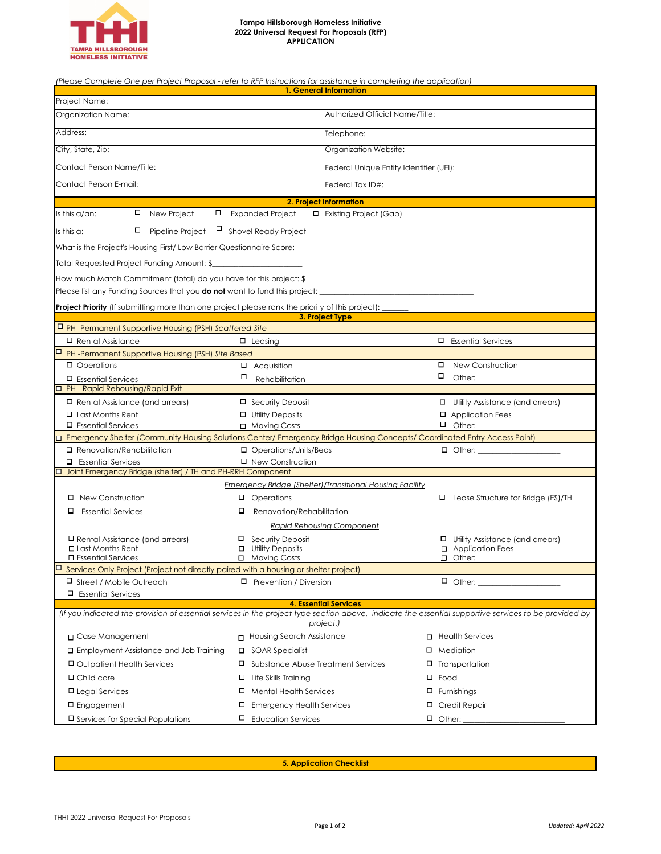

## *(Please Complete One per Project Proposal - refer to RFP Instructions for assistance in completing the application)*

| 1. General Information                                                                                                                                             |                                           |                                         |                                           |
|--------------------------------------------------------------------------------------------------------------------------------------------------------------------|-------------------------------------------|-----------------------------------------|-------------------------------------------|
| Project Name:                                                                                                                                                      |                                           |                                         |                                           |
| Organization Name:                                                                                                                                                 |                                           | Authorized Official Name/Title:         |                                           |
| Address:                                                                                                                                                           |                                           | Telephone:                              |                                           |
| City, State, Zip:                                                                                                                                                  |                                           | Organization Website:                   |                                           |
| Contact Person Name/Title:                                                                                                                                         |                                           | Federal Unique Entity Identifier (UEI): |                                           |
| Contact Person E-mail:                                                                                                                                             |                                           | Federal Tax ID#:                        |                                           |
| 2. Project Information                                                                                                                                             |                                           |                                         |                                           |
| $\Box$ New Project<br>□ Expanded Project<br>Existing Project (Gap)<br>Is this a/an:                                                                                |                                           |                                         |                                           |
| $\Box$ Shovel Ready Project<br>□<br>Pipeline Project<br>Is this a:                                                                                                 |                                           |                                         |                                           |
| What is the Project's Housing First/Low Barrier Questionnaire Score:                                                                                               |                                           |                                         |                                           |
| Total Requested Project Funding Amount: \$                                                                                                                         |                                           |                                         |                                           |
| How much Match Commitment (total) do you have for this project: \$                                                                                                 |                                           |                                         |                                           |
|                                                                                                                                                                    |                                           |                                         |                                           |
|                                                                                                                                                                    |                                           |                                         |                                           |
| <b>Project Priority</b> (If submitting more than one project please rank the priority of this project):<br>3. Project Type                                         |                                           |                                         |                                           |
| PH-Permanent Supportive Housing (PSH) Scattered-Site                                                                                                               |                                           |                                         |                                           |
| $\Box$ Rental Assistance                                                                                                                                           | $\Box$ Leasing                            |                                         | <b>L</b> Essential Services               |
|                                                                                                                                                                    |                                           |                                         |                                           |
| PH-Permanent Supportive Housing (PSH) Site Based<br>□ Operations                                                                                                   |                                           |                                         | New Construction                          |
|                                                                                                                                                                    | $\Box$ Acquisition<br>о                   |                                         | □<br>Other:                               |
| □ Essential Services<br>PH - Rapid Rehousing/Rapid Exit                                                                                                            | Rehabilitation                            |                                         |                                           |
|                                                                                                                                                                    |                                           |                                         |                                           |
| $\Box$ Rental Assistance (and arrears)                                                                                                                             | □ Security Deposit                        |                                         | $\Box$ Utility Assistance (and arrears)   |
| $\Box$ Last Months Rent<br>□ Essential Services                                                                                                                    | $\Box$ Utility Deposits<br>□ Moving Costs |                                         | □ Application Fees<br>$\Box$ Other:       |
| Emergency Shelter (Community Housing Solutions Center/ Emergency Bridge Housing Concepts/ Coordinated Entry Access Point)                                          |                                           |                                         |                                           |
| $\Box$ Renovation/Rehabilitation                                                                                                                                   | □ Operations/Units/Beds                   |                                         | $\Box$ Other:                             |
| □ Essential Services                                                                                                                                               | □ New Construction                        |                                         |                                           |
| Joint Emergency Bridge (shelter) / TH and PH-RRH Component                                                                                                         |                                           |                                         |                                           |
| <b>Emergency Bridge (Shelter)/Transitional Housing Facility</b>                                                                                                    |                                           |                                         |                                           |
| □ New Construction                                                                                                                                                 | $\Box$ Operations                         |                                         | $\Box$ Lease Structure for Bridge (ES)/TH |
| <b>Essential Services</b><br>□                                                                                                                                     | Renovation/Rehabilitation                 |                                         |                                           |
|                                                                                                                                                                    |                                           | <b>Rapid Rehousing Component</b>        |                                           |
| $\Box$ Rental Assistance (and arrears)                                                                                                                             | □ Security Deposit                        |                                         | $\Box$ Utility Assistance (and arrears)   |
| $\Box$ Last Months Rent                                                                                                                                            | $\Box$ Utility Deposits                   |                                         | □ Application Fees                        |
| □ Essential Services<br>$\Box$<br>Services Only Project (Project not directly paired with a housing or shelter project)                                            | □ Moving Costs                            |                                         | □ Other:                                  |
|                                                                                                                                                                    |                                           |                                         |                                           |
| □ Street / Mobile Outreach<br>□ Essential Services                                                                                                                 | $\Box$ Prevention / Diversion             |                                         |                                           |
|                                                                                                                                                                    |                                           | <b>4. Essential Services</b>            |                                           |
| (If you indicated the provision of essential services in the project type section above, indicate the essential supportive services to be provided by<br>project.) |                                           |                                         |                                           |
| □ Case Management                                                                                                                                                  | Housing Search Assistance                 |                                         | □ Health Services                         |
| □ Employment Assistance and Job Training                                                                                                                           | <b>SOAR Specialist</b><br>□               | □                                       | Mediation                                 |
| □ Outpatient Health Services                                                                                                                                       | Substance Abuse Treatment Services<br>□   | □                                       | Transportation                            |
| $\Box$ Child care                                                                                                                                                  | Life Skills Training<br>□                 | □                                       | Food                                      |
|                                                                                                                                                                    |                                           |                                         |                                           |
| $\Box$ Legal Services                                                                                                                                              | <b>Mental Health Services</b><br>□        | □                                       | Furnishings                               |
| $\Box$ Engagement                                                                                                                                                  | □<br><b>Emergency Health Services</b>     | □                                       | Credit Repair                             |
| $\Box$ Services for Special Populations                                                                                                                            | □<br><b>Education Services</b>            |                                         | $\Box$ Other:                             |

**5. Application Checklist**